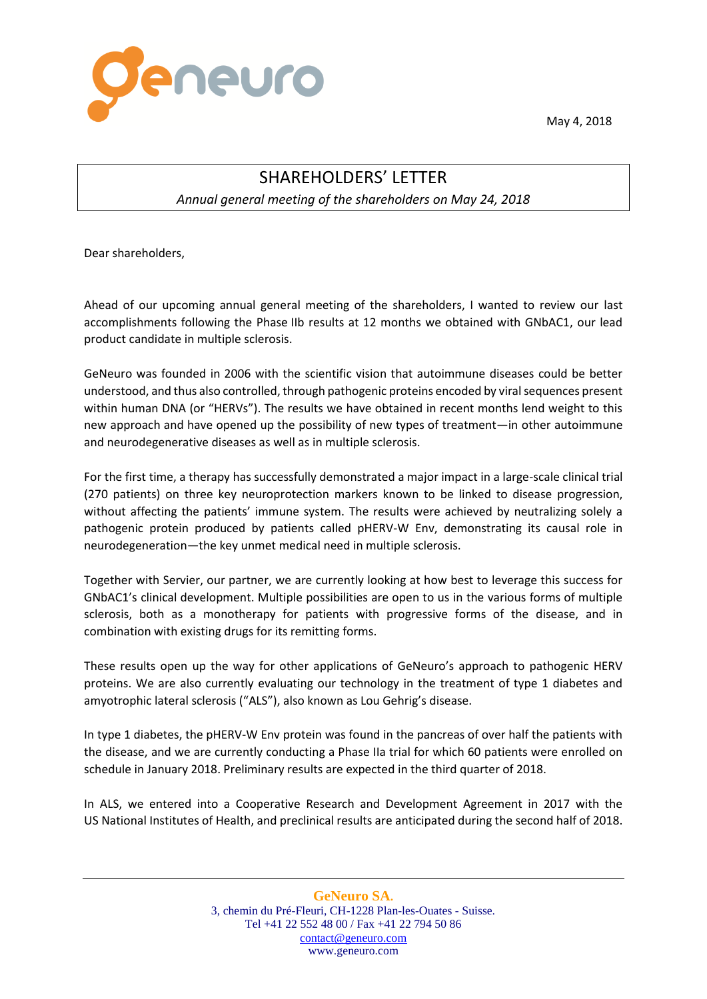

May 4, 2018

## SHAREHOLDERS' LETTER

*Annual general meeting of the shareholders on May 24, 2018*

Dear shareholders,

Ahead of our upcoming annual general meeting of the shareholders, I wanted to review our last accomplishments following the Phase IIb results at 12 months we obtained with GNbAC1, our lead product candidate in multiple sclerosis.

GeNeuro was founded in 2006 with the scientific vision that autoimmune diseases could be better understood, and thus also controlled, through pathogenic proteins encoded by viral sequences present within human DNA (or "HERVs"). The results we have obtained in recent months lend weight to this new approach and have opened up the possibility of new types of treatment—in other autoimmune and neurodegenerative diseases as well as in multiple sclerosis.

For the first time, a therapy has successfully demonstrated a major impact in a large-scale clinical trial (270 patients) on three key neuroprotection markers known to be linked to disease progression, without affecting the patients' immune system. The results were achieved by neutralizing solely a pathogenic protein produced by patients called pHERV-W Env, demonstrating its causal role in neurodegeneration—the key unmet medical need in multiple sclerosis.

Together with Servier, our partner, we are currently looking at how best to leverage this success for GNbAC1's clinical development. Multiple possibilities are open to us in the various forms of multiple sclerosis, both as a monotherapy for patients with progressive forms of the disease, and in combination with existing drugs for its remitting forms.

These results open up the way for other applications of GeNeuro's approach to pathogenic HERV proteins. We are also currently evaluating our technology in the treatment of type 1 diabetes and amyotrophic lateral sclerosis ("ALS"), also known as Lou Gehrig's disease.

In type 1 diabetes, the pHERV-W Env protein was found in the pancreas of over half the patients with the disease, and we are currently conducting a Phase IIa trial for which 60 patients were enrolled on schedule in January 2018. Preliminary results are expected in the third quarter of 2018.

In ALS, we entered into a Cooperative Research and Development Agreement in 2017 with the US National Institutes of Health, and preclinical results are anticipated during the second half of 2018.